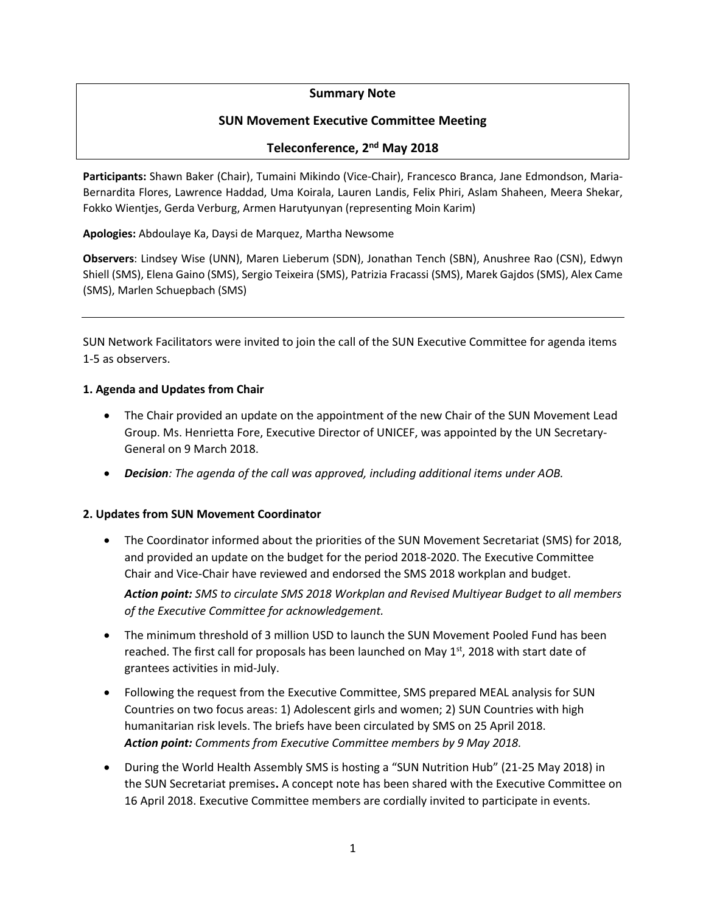### **Summary Note**

### **SUN Movement Executive Committee Meeting**

# **Teleconference, 2 nd May 2018**

**Participants:** Shawn Baker (Chair), Tumaini Mikindo (Vice-Chair), Francesco Branca, Jane Edmondson, Maria-Bernardita Flores, Lawrence Haddad, Uma Koirala, Lauren Landis, Felix Phiri, Aslam Shaheen, Meera Shekar, Fokko Wientjes, Gerda Verburg, Armen Harutyunyan (representing Moin Karim)

**Apologies:** Abdoulaye Ka, Daysi de Marquez, Martha Newsome

**Observers**: Lindsey Wise (UNN), Maren Lieberum (SDN), Jonathan Tench (SBN), Anushree Rao (CSN), Edwyn Shiell (SMS), Elena Gaino (SMS), Sergio Teixeira (SMS), Patrizia Fracassi (SMS), Marek Gajdos (SMS), Alex Came (SMS), Marlen Schuepbach (SMS)

SUN Network Facilitators were invited to join the call of the SUN Executive Committee for agenda items 1-5 as observers.

#### **1. Agenda and Updates from Chair**

- The Chair provided an update on the appointment of the new Chair of the SUN Movement Lead Group. Ms. Henrietta Fore, Executive Director of UNICEF, was appointed by the UN Secretary-General on 9 March 2018.
- *Decision: The agenda of the call was approved, including additional items under AOB.*

#### **2. Updates from SUN Movement Coordinator**

- The Coordinator informed about the priorities of the SUN Movement Secretariat (SMS) for 2018, and provided an update on the budget for the period 2018-2020. The Executive Committee Chair and Vice-Chair have reviewed and endorsed the SMS 2018 workplan and budget. *Action point: SMS to circulate SMS 2018 Workplan and Revised Multiyear Budget to all members of the Executive Committee for acknowledgement.*
- The minimum threshold of 3 million USD to launch the SUN Movement Pooled Fund has been reached. The first call for proposals has been launched on May  $1<sup>st</sup>$ , 2018 with start date of grantees activities in mid-July.
- Following the request from the Executive Committee, SMS prepared MEAL analysis for SUN Countries on two focus areas: 1) Adolescent girls and women; 2) SUN Countries with high humanitarian risk levels. The briefs have been circulated by SMS on 25 April 2018. *Action point: Comments from Executive Committee members by 9 May 2018.*
- During the World Health Assembly SMS is hosting a "SUN Nutrition Hub" (21-25 May 2018) in the SUN Secretariat premises**.** A concept note has been shared with the Executive Committee on 16 April 2018. Executive Committee members are cordially invited to participate in events.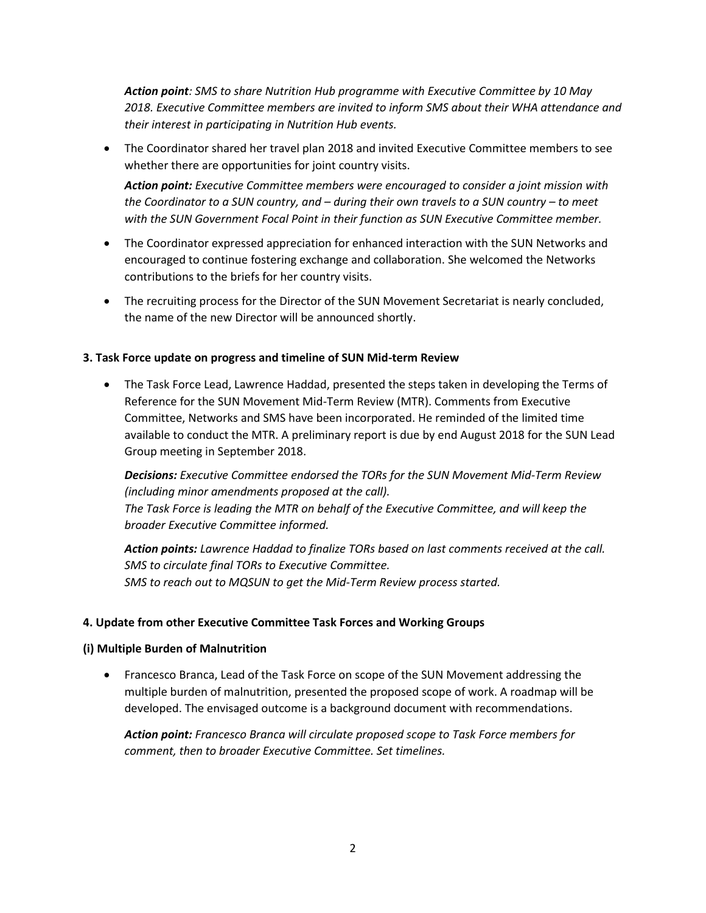*Action point: SMS to share Nutrition Hub programme with Executive Committee by 10 May 2018. Executive Committee members are invited to inform SMS about their WHA attendance and their interest in participating in Nutrition Hub events.* 

• The Coordinator shared her travel plan 2018 and invited Executive Committee members to see whether there are opportunities for joint country visits.

*Action point: Executive Committee members were encouraged to consider a joint mission with the Coordinator to a SUN country, and – during their own travels to a SUN country – to meet with the SUN Government Focal Point in their function as SUN Executive Committee member.* 

- The Coordinator expressed appreciation for enhanced interaction with the SUN Networks and encouraged to continue fostering exchange and collaboration. She welcomed the Networks contributions to the briefs for her country visits.
- The recruiting process for the Director of the SUN Movement Secretariat is nearly concluded, the name of the new Director will be announced shortly.

### **3. Task Force update on progress and timeline of SUN Mid-term Review**

• The Task Force Lead, Lawrence Haddad, presented the steps taken in developing the Terms of Reference for the SUN Movement Mid-Term Review (MTR). Comments from Executive Committee, Networks and SMS have been incorporated. He reminded of the limited time available to conduct the MTR. A preliminary report is due by end August 2018 for the SUN Lead Group meeting in September 2018.

*Decisions: Executive Committee endorsed the TORs for the SUN Movement Mid-Term Review (including minor amendments proposed at the call). The Task Force is leading the MTR on behalf of the Executive Committee, and will keep the broader Executive Committee informed.* 

*Action points: Lawrence Haddad to finalize TORs based on last comments received at the call. SMS to circulate final TORs to Executive Committee. SMS to reach out to MQSUN to get the Mid-Term Review process started.* 

#### **4. Update from other Executive Committee Task Forces and Working Groups**

#### **(i) Multiple Burden of Malnutrition**

• Francesco Branca, Lead of the Task Force on scope of the SUN Movement addressing the multiple burden of malnutrition, presented the proposed scope of work. A roadmap will be developed. The envisaged outcome is a background document with recommendations.

*Action point: Francesco Branca will circulate proposed scope to Task Force members for comment, then to broader Executive Committee. Set timelines.*